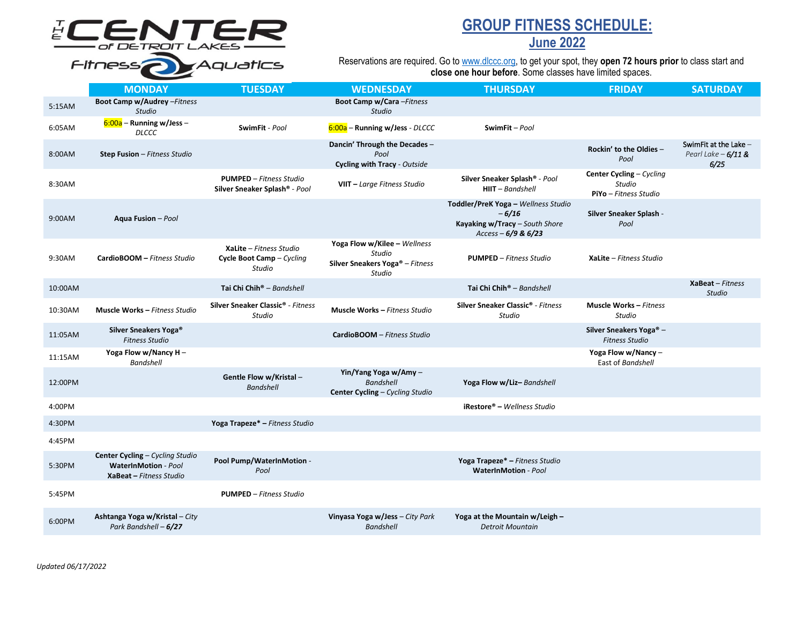# ELENTER<br>Fitness<sub>2</sub>

## **GROUP FITNESS SCHEDULE:**

### **June 2022**

Reservations are required. Go to [www.dlccc.org,](http://www.dlccc.org/) to get your spot, they **open 72 hours prior** to class start and **close one hour before**. Some classes have limited spaces.

|         | <b>MONDAY</b>                                                                             | <b>TUESDAY</b>                                                  | <b>WEDNESDAY</b>                                                                                | <b>THURSDAY</b>                                                                                             | <b>FRIDAY</b>                                                | <b>SATURDAY</b>                                       |
|---------|-------------------------------------------------------------------------------------------|-----------------------------------------------------------------|-------------------------------------------------------------------------------------------------|-------------------------------------------------------------------------------------------------------------|--------------------------------------------------------------|-------------------------------------------------------|
| 5:15AM  | Boot Camp w/Audrey - Fitness<br><b>Studio</b>                                             |                                                                 | Boot Camp w/Cara-Fitness<br><b>Studio</b>                                                       |                                                                                                             |                                                              |                                                       |
| 6:05AM  | $6:00a$ – Running w/Jess –<br><b>DLCCC</b>                                                | SwimFit - Pool                                                  | 6:00a - Running w/Jess - DLCCC                                                                  | SwimFit-Pool                                                                                                |                                                              |                                                       |
| 8:00AM  | Step Fusion - Fitness Studio                                                              |                                                                 | Dancin' Through the Decades -<br>Pool<br>Cycling with Tracy - Outside                           |                                                                                                             | Rockin' to the Oldies -<br>Pool                              | SwimFit at the Lake -<br>Pearl Lake $-6/11$ &<br>6/25 |
| 8:30AM  |                                                                                           | <b>PUMPED</b> - Fitness Studio<br>Silver Sneaker Splash® - Pool | VIIT - Large Fitness Studio                                                                     | Silver Sneaker Splash® - Pool<br>$H I I T - \textit{Bandshell}$                                             | Center Cycling - Cycling<br>Studio<br>PiYo - Fitness Studio  |                                                       |
| 9:00AM  | Aqua Fusion - Pool                                                                        |                                                                 |                                                                                                 | Toddler/PreK Yoga - Wellness Studio<br>$-6/16$<br>Kayaking w/Tracy - South Shore<br>Access - $6/9$ & $6/23$ | Silver Sneaker Splash -<br>Pool                              |                                                       |
| 9:30AM  | CardioBOOM - Fitness Studio                                                               | XaLite - Fitness Studio<br>Cycle Boot Camp - Cycling<br>Studio  | Yoga Flow w/Kilee - Wellness<br>Studio<br>Silver Sneakers Yoga <sup>®</sup> - Fitness<br>Studio | <b>PUMPED</b> - Fitness Studio                                                                              | XaLite - Fitness Studio                                      |                                                       |
| 10:00AM |                                                                                           | Tai Chi Chih <sup>®</sup> - Bandshell                           |                                                                                                 | Tai Chi Chih <sup>®</sup> - Bandshell                                                                       |                                                              | $X$ aBeat – Fitness<br><b>Studio</b>                  |
| 10:30AM | <b>Muscle Works - Fitness Studio</b>                                                      | Silver Sneaker Classic <sup>®</sup> - Fitness<br><b>Studio</b>  | <b>Muscle Works - Fitness Studio</b>                                                            | Silver Sneaker Classic <sup>®</sup> - Fitness<br>Studio                                                     | <b>Muscle Works - Fitness</b><br>Studio                      |                                                       |
| 11:05AM | Silver Sneakers Yoga <sup>®</sup><br><b>Fitness Studio</b>                                |                                                                 | CardioBOOM - Fitness Studio                                                                     |                                                                                                             | Silver Sneakers Yoga <sup>®</sup> -<br><b>Fitness Studio</b> |                                                       |
| 11:15AM | Yoga Flow w/Nancy H -<br><b>Bandshell</b>                                                 |                                                                 |                                                                                                 |                                                                                                             | Yoga Flow w/Nancy $-$<br>East of Bandshell                   |                                                       |
| 12:00PM |                                                                                           | Gentle Flow w/Kristal -<br><b>Bandshell</b>                     | Yin/Yang Yoga w/Amy -<br><b>Bandshell</b><br><b>Center Cycling - Cycling Studio</b>             | Yoga Flow w/Liz-Bandshell                                                                                   |                                                              |                                                       |
| 4:00PM  |                                                                                           |                                                                 |                                                                                                 | $i$ Restore® – Wellness Studio                                                                              |                                                              |                                                       |
| 4:30PM  |                                                                                           | Yoga Trapeze* - Fitness Studio                                  |                                                                                                 |                                                                                                             |                                                              |                                                       |
| 4:45PM  |                                                                                           |                                                                 |                                                                                                 |                                                                                                             |                                                              |                                                       |
| 5:30PM  | Center Cycling - Cycling Studio<br><b>WaterInMotion - Pool</b><br>XaBeat - Fitness Studio | Pool Pump/WaterInMotion -<br>Pool                               |                                                                                                 | Yoga Trapeze* - Fitness Studio<br><b>WaterInMotion - Pool</b>                                               |                                                              |                                                       |
| 5:45PM  |                                                                                           | <b>PUMPED</b> - Fitness Studio                                  |                                                                                                 |                                                                                                             |                                                              |                                                       |
| 6:00PM  | Ashtanga Yoga w/Kristal - City<br>Park Bandshell - 6/27                                   |                                                                 | Vinyasa Yoga w/Jess - City Park<br><b>Bandshell</b>                                             | Yoga at the Mountain w/Leigh -<br><b>Detroit Mountain</b>                                                   |                                                              |                                                       |